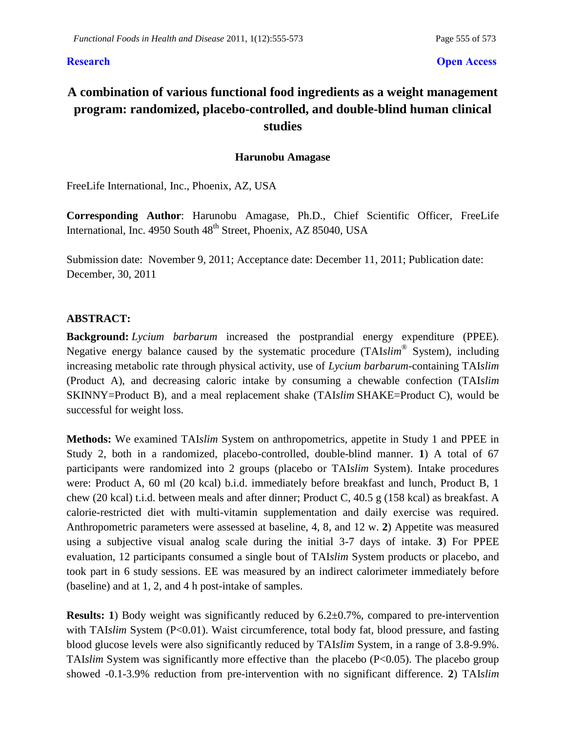### **Research Open Access**

# **A combination of various functional food ingredients as a weight management program: randomized, placebo-controlled, and double-blind human clinical studies**

### **Harunobu Amagase**

FreeLife International, Inc., Phoenix, AZ, USA

**Corresponding Author**: Harunobu Amagase, Ph.D., Chief Scientific Officer, FreeLife International, Inc. 4950 South 48<sup>th</sup> Street, Phoenix, AZ 85040, USA

Submission date: November 9, 2011; Acceptance date: December 11, 2011; Publication date: December, 30, 2011

### **ABSTRACT:**

**Background:** *Lycium barbarum* increased the postprandial energy expenditure (PPEE). Negative energy balance caused by the systematic procedure (TAI*slim*® System), including increasing metabolic rate through physical activity, use of *Lycium barbarum*-containing TAI*slim* (Product A), and decreasing caloric intake by consuming a chewable confection (TAI*slim* SKINNY=Product B), and a meal replacement shake (TAI*slim* SHAKE=Product C), would be successful for weight loss.

**Methods:** We examined TAI*slim* System on anthropometrics, appetite in Study 1 and PPEE in Study 2, both in a randomized, placebo-controlled, double-blind manner. **1**) A total of 67 participants were randomized into 2 groups (placebo or TAI*slim* System). Intake procedures were: Product A, 60 ml (20 kcal) b.i.d. immediately before breakfast and lunch, Product B, 1 chew (20 kcal) t.i.d. between meals and after dinner; Product C, 40.5 g (158 kcal) as breakfast. A calorie-restricted diet with multi-vitamin supplementation and daily exercise was required. Anthropometric parameters were assessed at baseline, 4, 8, and 12 w. **2**) Appetite was measured using a subjective visual analog scale during the initial 3-7 days of intake. **3**) For PPEE evaluation, 12 participants consumed a single bout of TAI*slim* System products or placebo, and took part in 6 study sessions. EE was measured by an indirect calorimeter immediately before (baseline) and at 1, 2, and 4 h post-intake of samples.

**Results: 1**) Body weight was significantly reduced by 6.2 $\pm$ 0.7%, compared to pre-intervention with TAI*slim* System (P<0.01). Waist circumference, total body fat, blood pressure, and fasting blood glucose levels were also significantly reduced by TAI*slim* System, in a range of 3.8-9.9%. TAI*slim* System was significantly more effective than the placebo (P<0.05). The placebo group showed -0.1-3.9% reduction from pre-intervention with no significant difference. **2**) TAI*slim*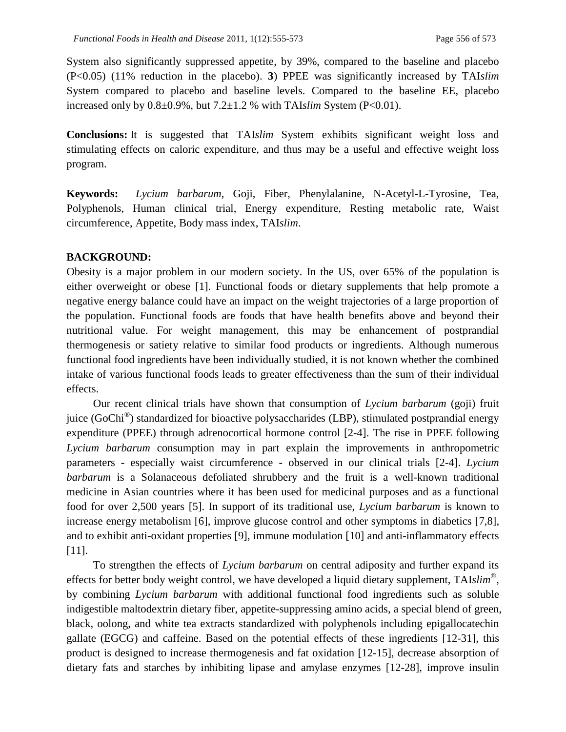System also significantly suppressed appetite, by 39%, compared to the baseline and placebo (P<0.05) (11% reduction in the placebo). **3**) PPEE was significantly increased by TAI*slim* System compared to placebo and baseline levels. Compared to the baseline EE, placebo increased only by  $0.8\pm0.9\%$ , but  $7.2\pm1.2\%$  with TAI*slim* System (P<0.01).

**Conclusions:** It is suggested that TAI*slim* System exhibits significant weight loss and stimulating effects on caloric expenditure, and thus may be a useful and effective weight loss program.

**Keywords:** *Lycium barbarum*, Goji, Fiber, Phenylalanine, N-Acetyl-L-Tyrosine, Tea, Polyphenols, Human clinical trial, Energy expenditure, Resting metabolic rate, Waist circumference, Appetite, Body mass index, TAI*slim*.

### **BACKGROUND:**

Obesity is a major problem in our modern society. In the US, over 65% of the population is either overweight or obese [1]. Functional foods or dietary supplements that help promote a negative energy balance could have an impact on the weight trajectories of a large proportion of the population. Functional foods are foods that have health benefits above and beyond their nutritional value. For weight management, this may be enhancement of postprandial thermogenesis or satiety relative to similar food products or ingredients. Although numerous functional food ingredients have been individually studied, it is not known whether the combined intake of various functional foods leads to greater effectiveness than the sum of their individual effects.

Our recent clinical trials have shown that consumption of *Lycium barbarum* (goji) fruit juice (GoChi*®* ) standardized for bioactive polysaccharides (LBP), stimulated postprandial energy expenditure (PPEE) through adrenocortical hormone control [2-4]. The rise in PPEE following *Lycium barbarum* consumption may in part explain the improvements in anthropometric parameters - especially waist circumference - observed in our clinical trials [2-4]. *Lycium barbarum* is a Solanaceous defoliated shrubbery and the fruit is a well-known traditional medicine in Asian countries where it has been used for medicinal purposes and as a functional food for over 2,500 years [5]. In support of its traditional use, *Lycium barbarum* is known to increase energy metabolism [6], improve glucose control and other symptoms in diabetics [7,8], and to exhibit anti-oxidant properties [9], immune modulation [10] and anti-inflammatory effects [11].

To strengthen the effects of *Lycium barbarum* on central adiposity and further expand its effects for better body weight control, we have developed a liquid dietary supplement, TAI*slim®* , by combining *Lycium barbarum* with additional functional food ingredients such as soluble indigestible maltodextrin dietary fiber, appetite-suppressing amino acids, a special blend of green, black, oolong, and white tea extracts standardized with polyphenols including epigallocatechin gallate (EGCG) and caffeine. Based on the potential effects of these ingredients [12-31], this product is designed to increase thermogenesis and fat oxidation [12-15], decrease absorption of dietary fats and starches by inhibiting lipase and amylase enzymes [12-28], improve insulin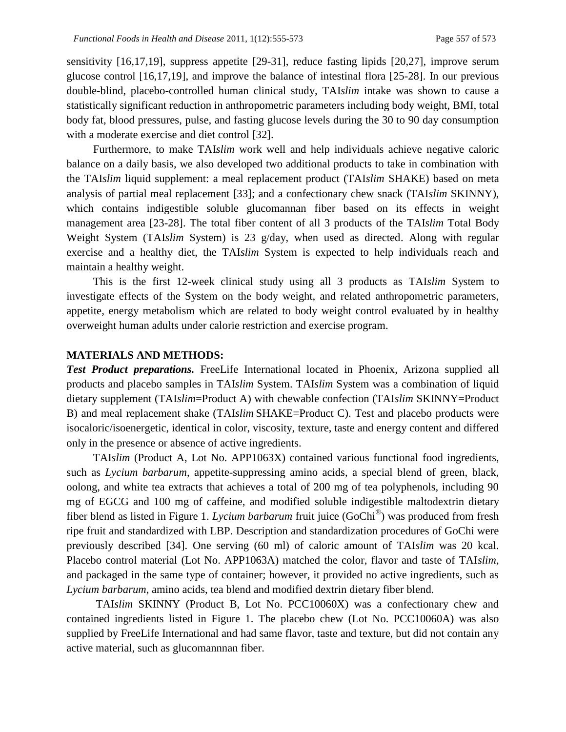sensitivity [16,17,19], suppress appetite [29-31], reduce fasting lipids [20,27], improve serum glucose control [16,17,19], and improve the balance of intestinal flora [25-28]. In our previous double-blind, placebo-controlled human clinical study, TAI*slim* intake was shown to cause a statistically significant reduction in anthropometric parameters including body weight, BMI, total body fat, blood pressures, pulse, and fasting glucose levels during the 30 to 90 day consumption with a moderate exercise and diet control [32].

Furthermore, to make TAI*slim* work well and help individuals achieve negative caloric balance on a daily basis, we also developed two additional products to take in combination with the TAI*slim* liquid supplement: a meal replacement product (TAI*slim* SHAKE) based on meta analysis of partial meal replacement [33]; and a confectionary chew snack (TAI*slim* SKINNY), which contains indigestible soluble glucomannan fiber based on its effects in weight management area [23-28]. The total fiber content of all 3 products of the TAI*slim* Total Body Weight System (TAI*slim* System) is 23 g/day, when used as directed. Along with regular exercise and a healthy diet, the TAI*slim* System is expected to help individuals reach and maintain a healthy weight.

This is the first 12-week clinical study using all 3 products as TAI*slim* System to investigate effects of the System on the body weight, and related anthropometric parameters, appetite, energy metabolism which are related to body weight control evaluated by in healthy overweight human adults under calorie restriction and exercise program.

### **MATERIALS AND METHODS:**

*Test Product preparations.* FreeLife International located in Phoenix, Arizona supplied all products and placebo samples in TAI*slim* System. TAI*slim* System was a combination of liquid dietary supplement (TAI*slim*=Product A) with chewable confection (TAI*slim* SKINNY=Product B) and meal replacement shake (TAI*slim* SHAKE=Product C). Test and placebo products were isocaloric/isoenergetic, identical in color, viscosity, texture, taste and energy content and differed only in the presence or absence of active ingredients.

TAI*slim* (Product A, Lot No. APP1063X) contained various functional food ingredients, such as *Lycium barbarum*, appetite-suppressing amino acids, a special blend of green, black, oolong, and white tea extracts that achieves a total of 200 mg of tea polyphenols, including 90 mg of EGCG and 100 mg of caffeine, and modified soluble indigestible maltodextrin dietary fiber blend as listed in Figure 1. *Lycium barbarum* fruit juice (GoChi® ) was produced from fresh ripe fruit and standardized with LBP. Description and standardization procedures of GoChi were previously described [34]. One serving (60 ml) of caloric amount of TAI*slim* was 20 kcal. Placebo control material (Lot No. APP1063A) matched the color, flavor and taste of TAI*slim*, and packaged in the same type of container; however, it provided no active ingredients, such as *Lycium barbarum*, amino acids, tea blend and modified dextrin dietary fiber blend.

TAI*slim* SKINNY (Product B, Lot No. PCC10060X) was a confectionary chew and contained ingredients listed in Figure 1. The placebo chew (Lot No. PCC10060A) was also supplied by FreeLife International and had same flavor, taste and texture, but did not contain any active material, such as glucomannnan fiber.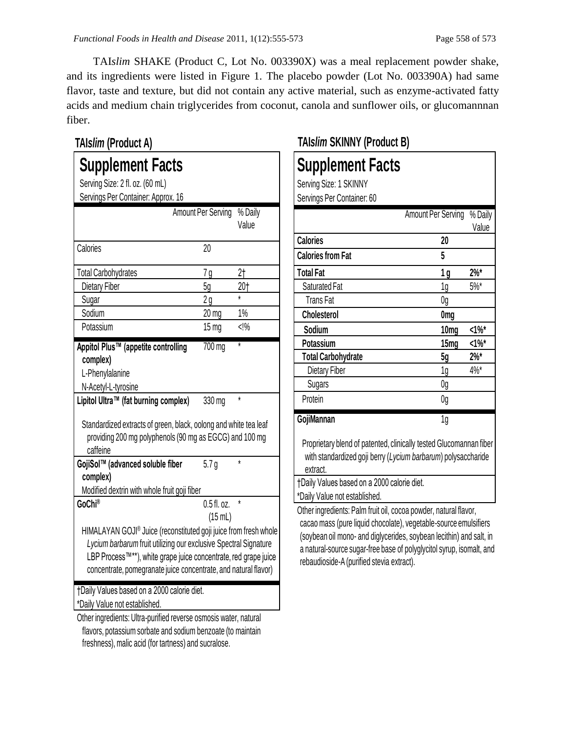TAI*slim* SHAKE (Product C, Lot No. 003390X) was a meal replacement powder shake, and its ingredients were listed in Figure 1. The placebo powder (Lot No. 003390A) had same flavor, taste and texture, but did not contain any active material, such as enzyme-activated fatty acids and medium chain triglycerides from coconut, canola and sunflower oils, or glucomannnan fiber.

## **Supplement Facts** Serving Size: 2 fl. oz. (60 mL) Servings Per Container: Approx. 16 Amount Per Serving % Daily Value Calories 20 Total Carbohydrates 7 g 2† Dietary Fiber 5g 5g 20† Sugar 2 g  $*$ Sodium 20 mg 1% Potassium 15 mg <!% **Appitol Plus™ (appetite controlling complex)**  $700<sub>mg</sub>$ L-Phenylalanine N-Acetyl-L-tyrosine Lipitol Ultra™ (fat burning complex) 330 mg Standardized extracts of green, black, oolong and white tea leaf providing 200 mg polyphenols (90 mg as EGCG) and 100 mg caffeine **GojiSol™ (advanced soluble fiber complex)**  $5.7 g$ Modified dextrin with whole fruit goji fiber **GoChi®** 0.5 fl. oz. (15 mL) HIMALAYAN GOJI® Juice (reconstituted goji juice from fresh whole *Lycium barbarum* fruit utilizing our exclusive Spectral Signature LBP Process™\*\*), white grape juice concentrate, red grape juice concentrate, pomegranate juice concentrate, and natural flavor) †Daily Values based on a 2000 calorie diet. \*Daily Value not established. **TAI***slim* **(Product A) TAI***slim* **SKINNY (Product B)**

Other ingredients: Ultra-purified reverse osmosis water, natural flavors, potassium sorbate and sodium benzoate (to maintain freshness), malic acid (for tartness) and sucralose.

# **Supplement Facts**

Serving Size: 1 SKINNY Servings Per Container: 60

|                           | Amount Per Serving | % Daily  |
|---------------------------|--------------------|----------|
|                           |                    | Value    |
| <b>Calories</b>           | 20                 |          |
| <b>Calories from Fat</b>  | 5                  |          |
| <b>Total Fat</b>          | 1 g                | $2\%$ *  |
| Saturated Fat             | 1g                 | 5%       |
| <b>Trans Fat</b>          | 0g                 |          |
| <b>Cholesterol</b>        | 0 <sub>mg</sub>    |          |
| Sodium                    | 10 <sub>mg</sub>   | $1\%$    |
| Potassium                 | 15 <sub>mg</sub>   | $<1\%$ * |
| <b>Total Carbohydrate</b> | 5g                 | $2\%$ *  |
| Dietary Fiber             | 1g                 | $4\%$ *  |
| Sugars                    | 0g                 |          |
| Protein                   | 0g                 |          |
| GojiMannan                | 1 <sub>g</sub>     |          |

Proprietary blend of patented, clinically tested Glucomannan fiber with standardized goji berry (*Lycium barbarum*) polysaccharide extract.

†Daily Values based on a 2000 calorie diet. \*Daily Value not established.

Other ingredients: Palm fruit oil, cocoa powder, natural flavor, cacao mass (pure liquid chocolate), vegetable-source emulsifiers (soybean oil mono- and diglycerides, soybean lecithin) and salt, in a natural-source sugar-free base of polyglycitol syrup, isomalt, and rebaudioside-A (purified stevia extract).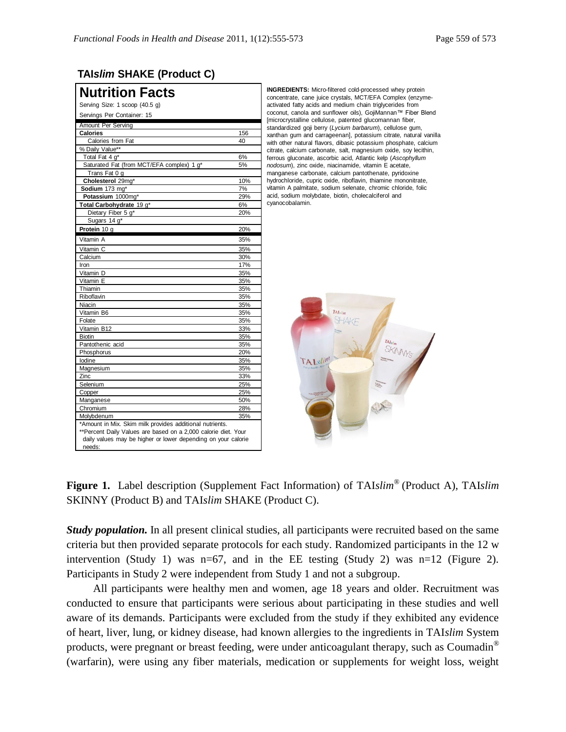### **TAI***slim* **SHAKE (Product C)**

| <b>Nutrition Facts</b>                                                                                                                                                                                |     |
|-------------------------------------------------------------------------------------------------------------------------------------------------------------------------------------------------------|-----|
| Serving Size: 1 scoop (40.5 g)                                                                                                                                                                        |     |
| Servings Per Container: 15                                                                                                                                                                            |     |
| <b>Amount Per Serving</b>                                                                                                                                                                             |     |
| <b>Calories</b>                                                                                                                                                                                       | 156 |
| Calories from Fat                                                                                                                                                                                     | 40  |
| % Daily Value**                                                                                                                                                                                       |     |
| Total Fat 4 g*                                                                                                                                                                                        | 6%  |
| Saturated Fat (from MCT/EFA complex) 1 g*                                                                                                                                                             | 5%  |
| Trans Fat 0 g                                                                                                                                                                                         |     |
| Cholesterol 29mg*                                                                                                                                                                                     | 10% |
| Sodium 173 mg*                                                                                                                                                                                        | 7%  |
| Potassium 1000mg*                                                                                                                                                                                     | 29% |
| Total Carbohydrate 19 g*                                                                                                                                                                              | 6%  |
| Dietary Fiber 5 g*                                                                                                                                                                                    | 20% |
| Sugars 14 g*                                                                                                                                                                                          |     |
| Protein 10 g                                                                                                                                                                                          | 20% |
| Vitamin A                                                                                                                                                                                             | 35% |
| Vitamin C                                                                                                                                                                                             | 35% |
| Calcium                                                                                                                                                                                               | 30% |
| Iron                                                                                                                                                                                                  | 17% |
| Vitamin D                                                                                                                                                                                             | 35% |
| Vitamin E                                                                                                                                                                                             | 35% |
| Thiamin                                                                                                                                                                                               | 35% |
| Riboflavin                                                                                                                                                                                            | 35% |
| Niacin                                                                                                                                                                                                | 35% |
| Vitamin B6                                                                                                                                                                                            | 35% |
| Folate                                                                                                                                                                                                | 35% |
| Vitamin B12                                                                                                                                                                                           | 33% |
| <b>Biotin</b>                                                                                                                                                                                         | 35% |
| Pantothenic acid                                                                                                                                                                                      | 35% |
| Phosphorus                                                                                                                                                                                            | 20% |
| lodine                                                                                                                                                                                                | 35% |
| Magnesium                                                                                                                                                                                             | 35% |
| Zinc                                                                                                                                                                                                  | 33% |
| Selenium                                                                                                                                                                                              | 25% |
| Copper                                                                                                                                                                                                | 25% |
| Manganese                                                                                                                                                                                             | 50% |
| Chromium                                                                                                                                                                                              | 28% |
| Molybdenum                                                                                                                                                                                            | 35% |
| *Amount in Mix. Skim milk provides additional nutrients.<br>**Percent Daily Values are based on a 2,000 calorie diet. Your<br>daily values may be higher or lower depending on your calorie<br>needs: |     |

**INGREDIENTS:** Micro-filtered cold-processed whey protein concentrate, cane juice crystals, MCT/EFA Complex (enzymeactivated fatty acids and medium chain triglycerides from coconut, canola and sunflower oils), GojiMannan™ Fiber Blend [microcrystalline cellulose, patented glucomannan fiber, standardized goji berry (*Lycium barbarum*), cellulose gum, xanthan gum and carrageenan], potassium citrate, natural vanilla with other natural flavors, dibasic potassium phosphate, calcium citrate, calcium carbonate, salt, magnesium oxide, soy lecithin, ferrous gluconate, ascorbic acid, Atlantic kelp (*Ascophyllum nodosum*), zinc oxide, niacinamide, vitamin E acetate, manganese carbonate, calcium pantothenate, pyridoxine hydrochloride, cupric oxide, riboflavin, thiamine mononitrate, vitamin A palmitate, sodium selenate, chromic chloride, folic acid, sodium molybdate, biotin, cholecalciferol and cyanocobalamin.



**Figure 1.** Label description (Supplement Fact Information) of TAI*slim®* (Product A), TAI*slim* SKINNY (Product B) and TAI*slim* SHAKE (Product C).

*Study population.* In all present clinical studies, all participants were recruited based on the same criteria but then provided separate protocols for each study. Randomized participants in the 12 w intervention (Study 1) was n=67, and in the EE testing (Study 2) was n=12 (Figure 2). Participants in Study 2 were independent from Study 1 and not a subgroup.

All participants were healthy men and women, age 18 years and older. Recruitment was conducted to ensure that participants were serious about participating in these studies and well aware of its demands. Participants were excluded from the study if they exhibited any evidence of heart, liver, lung, or kidney disease, had known allergies to the ingredients in TAI*slim* System products, were pregnant or breast feeding, were under anticoagulant therapy, such as Coumadin® (warfarin), were using any fiber materials, medication or supplements for weight loss, weight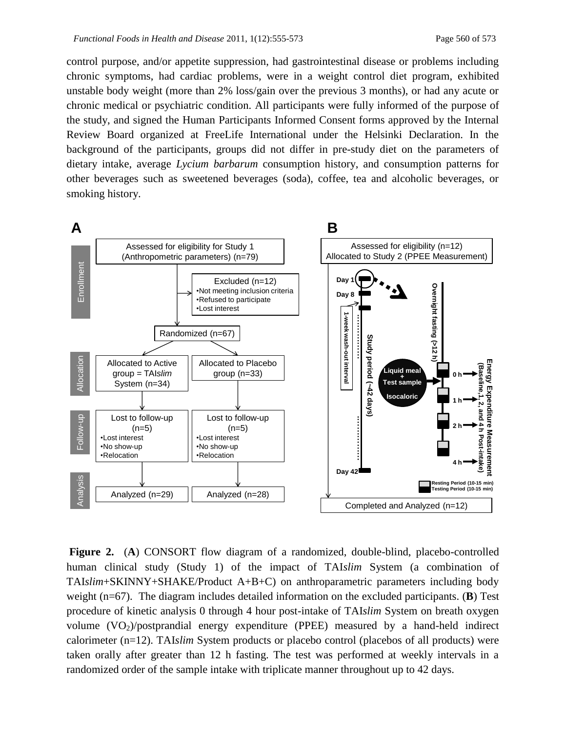control purpose, and/or appetite suppression, had gastrointestinal disease or problems including chronic symptoms, had cardiac problems, were in a weight control diet program, exhibited unstable body weight (more than 2% loss/gain over the previous 3 months), or had any acute or chronic medical or psychiatric condition. All participants were fully informed of the purpose of the study, and signed the Human Participants Informed Consent forms approved by the Internal Review Board organized at FreeLife International under the Helsinki Declaration. In the background of the participants, groups did not differ in pre-study diet on the parameters of dietary intake, average *Lycium barbarum* consumption history, and consumption patterns for other beverages such as sweetened beverages (soda), coffee, tea and alcoholic beverages, or smoking history.



**Figure 2.** (A) CONSORT flow diagram of a randomized, double-blind, placebo-controlled human clinical study (Study 1) of the impact of TAI*slim* System (a combination of TAI*slim*+SKINNY+SHAKE/Product A+B+C) on anthroparametric parameters including body weight (n=67). The diagram includes detailed information on the excluded participants. (**B**) Test procedure of kinetic analysis 0 through 4 hour post-intake of TAI*slim* System on breath oxygen volume  $(VO_2)/$ postprandial energy expenditure (PPEE) measured by a hand-held indirect calorimeter (n=12). TAI*slim* System products or placebo control (placebos of all products) were taken orally after greater than 12 h fasting. The test was performed at weekly intervals in a randomized order of the sample intake with triplicate manner throughout up to 42 days.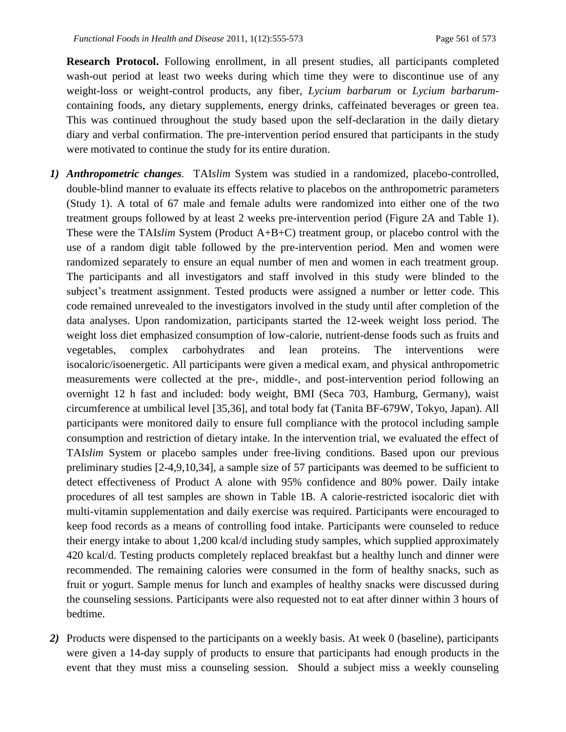**Research Protocol.** Following enrollment, in all present studies, all participants completed wash-out period at least two weeks during which time they were to discontinue use of any weight-loss or weight-control products, any fiber, *Lycium barbarum* or *Lycium barbarum*containing foods, any dietary supplements, energy drinks, caffeinated beverages or green tea. This was continued throughout the study based upon the self-declaration in the daily dietary diary and verbal confirmation. The pre-intervention period ensured that participants in the study were motivated to continue the study for its entire duration.

- *1) Anthropometric changes.* TAI*slim* System was studied in a randomized, placebo-controlled, double-blind manner to evaluate its effects relative to placebos on the anthropometric parameters (Study 1). A total of 67 male and female adults were randomized into either one of the two treatment groups followed by at least 2 weeks pre-intervention period (Figure 2A and Table 1). These were the TAI*slim* System (Product A+B+C) treatment group, or placebo control with the use of a random digit table followed by the pre-intervention period. Men and women were randomized separately to ensure an equal number of men and women in each treatment group. The participants and all investigators and staff involved in this study were blinded to the subject's treatment assignment. Tested products were assigned a number or letter code. This code remained unrevealed to the investigators involved in the study until after completion of the data analyses. Upon randomization, participants started the 12-week weight loss period. The weight loss diet emphasized consumption of low-calorie, nutrient-dense foods such as fruits and vegetables, complex carbohydrates and lean proteins. The interventions were isocaloric/isoenergetic. All participants were given a medical exam, and physical anthropometric measurements were collected at the pre-, middle-, and post-intervention period following an overnight 12 h fast and included: body weight, BMI (Seca 703, Hamburg, Germany), waist circumference at umbilical level [35,36], and total body fat (Tanita BF-679W, Tokyo, Japan). All participants were monitored daily to ensure full compliance with the protocol including sample consumption and restriction of dietary intake. In the intervention trial, we evaluated the effect of TAI*slim* System or placebo samples under free-living conditions. Based upon our previous preliminary studies [2-4,9,10,34], a sample size of 57 participants was deemed to be sufficient to detect effectiveness of Product A alone with 95% confidence and 80% power. Daily intake procedures of all test samples are shown in Table 1B. A calorie-restricted isocaloric diet with multi-vitamin supplementation and daily exercise was required. Participants were encouraged to keep food records as a means of controlling food intake. Participants were counseled to reduce their energy intake to about 1,200 kcal/d including study samples, which supplied approximately 420 kcal/d. Testing products completely replaced breakfast but a healthy lunch and dinner were recommended. The remaining calories were consumed in the form of healthy snacks, such as fruit or yogurt. Sample menus for lunch and examples of healthy snacks were discussed during the counseling sessions. Participants were also requested not to eat after dinner within 3 hours of bedtime.
- *2)* Products were dispensed to the participants on a weekly basis. At week 0 (baseline), participants were given a 14-day supply of products to ensure that participants had enough products in the event that they must miss a counseling session. Should a subject miss a weekly counseling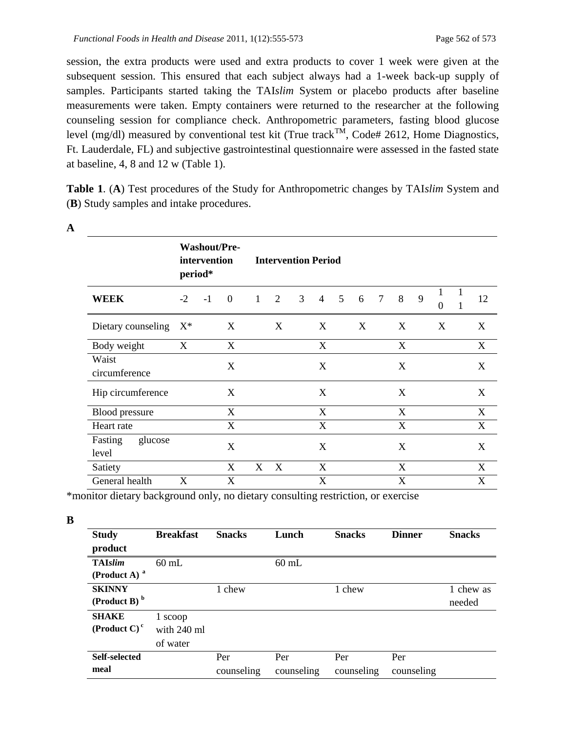session, the extra products were used and extra products to cover 1 week were given at the subsequent session. This ensured that each subject always had a 1-week back-up supply of samples. Participants started taking the TAI*slim* System or placebo products after baseline measurements were taken. Empty containers were returned to the researcher at the following counseling session for compliance check. Anthropometric parameters, fasting blood glucose level (mg/dl) measured by conventional test kit (True track<sup>TM</sup>, Code# 2612, Home Diagnostics, Ft. Lauderdale, FL) and subjective gastrointestinal questionnaire were assessed in the fasted state at baseline, 4, 8 and 12 w (Table 1).

**Table 1**. (**A**) Test procedures of the Study for Anthropometric changes by TAI*slim* System and (**B**) Study samples and intake procedures.

|                             |       | intervention<br>period* | <b>Washout/Pre-</b> |              | <b>Intervention Period</b> |   |                |   |   |                |   |   |                          |              |                           |
|-----------------------------|-------|-------------------------|---------------------|--------------|----------------------------|---|----------------|---|---|----------------|---|---|--------------------------|--------------|---------------------------|
| <b>WEEK</b>                 | $-2$  | $-1$                    | $\overline{0}$      | $\mathbf{1}$ | 2                          | 3 | $\overline{4}$ | 5 | 6 | $\overline{7}$ | 8 | 9 | $\mathbf{1}$<br>$\Omega$ | $\mathbf{1}$ | 12                        |
| Dietary counseling          | $X^*$ |                         | X                   |              | X                          |   | X              |   | X |                | X |   | X                        |              | X                         |
| Body weight                 | X     |                         | X                   |              |                            |   | X              |   |   |                | X |   |                          |              | X                         |
| Waist<br>circumference      |       |                         | X                   |              |                            |   | X              |   |   |                | X |   |                          |              | X                         |
| Hip circumference           |       |                         | X                   |              |                            |   | X              |   |   |                | X |   |                          |              | X                         |
| <b>Blood pressure</b>       |       |                         | X                   |              |                            |   | X              |   |   |                | X |   |                          |              | X                         |
| Heart rate                  |       |                         | X                   |              |                            |   | X              |   |   |                | X |   |                          |              | X                         |
| Fasting<br>glucose<br>level |       |                         | X                   |              |                            |   | X              |   |   |                | X |   |                          |              | X                         |
| Satiety                     |       |                         | X                   | X            | $\mathbf{X}$               |   | X              |   |   |                | X |   |                          |              | X                         |
| General health              | X     |                         | X                   |              |                            |   | X              |   |   |                | X |   |                          |              | $\boldsymbol{\mathrm{X}}$ |

**A**

\*monitor dietary background only, no dietary consulting restriction, or exercise

| i<br>۰. |
|---------|
| ٧       |

| <b>Study</b>               | <b>Breakfast</b> | <b>Snacks</b> | Lunch      | <b>Snacks</b> | <b>Dinner</b> | <b>Snacks</b> |
|----------------------------|------------------|---------------|------------|---------------|---------------|---------------|
| product                    |                  |               |            |               |               |               |
| <b>TAIslim</b>             | $60$ mL          |               | $60$ mL    |               |               |               |
| (Product A) $^a$           |                  |               |            |               |               |               |
| <b>SKINNY</b>              |                  | 1 chew        |            | 1 chew        |               | 1 chew as     |
| $(Product B)$ <sup>b</sup> |                  |               |            |               |               | needed        |
| <b>SHAKE</b>               | 1 scoop          |               |            |               |               |               |
| (Product C) $c$            | with 240 ml      |               |            |               |               |               |
|                            | of water         |               |            |               |               |               |
| Self-selected              |                  | Per           | Per        | Per           | Per           |               |
| meal                       |                  | counseling    | counseling | counseling    | counseling    |               |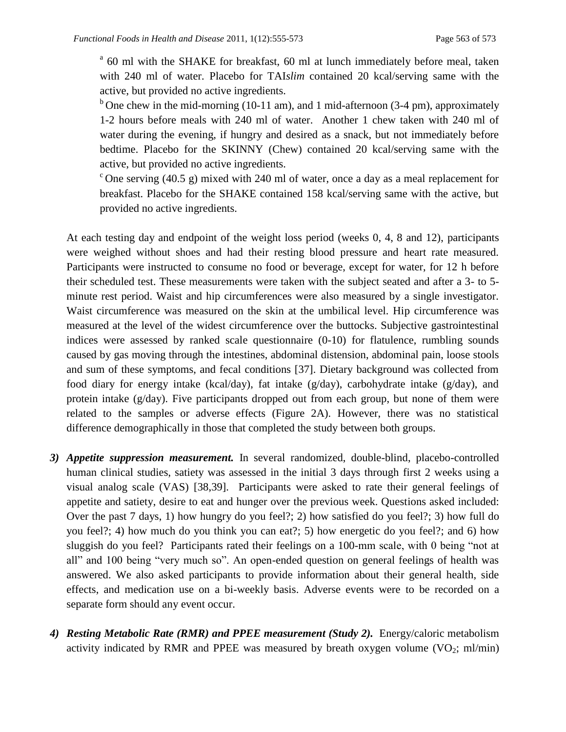<sup>a</sup> 60 ml with the SHAKE for breakfast, 60 ml at lunch immediately before meal, taken with 240 ml of water. Placebo for TAI*slim* contained 20 kcal/serving same with the active, but provided no active ingredients.

<sup>b</sup> One chew in the mid-morning (10-11 am), and 1 mid-afternoon (3-4 pm), approximately 1-2 hours before meals with 240 ml of water. Another 1 chew taken with 240 ml of water during the evening, if hungry and desired as a snack, but not immediately before bedtime. Placebo for the SKINNY (Chew) contained 20 kcal/serving same with the active, but provided no active ingredients.

 $\epsilon$  One serving (40.5 g) mixed with 240 ml of water, once a day as a meal replacement for breakfast. Placebo for the SHAKE contained 158 kcal/serving same with the active, but provided no active ingredients.

At each testing day and endpoint of the weight loss period (weeks 0, 4, 8 and 12), participants were weighed without shoes and had their resting blood pressure and heart rate measured. Participants were instructed to consume no food or beverage, except for water, for 12 h before their scheduled test. These measurements were taken with the subject seated and after a 3- to 5 minute rest period. Waist and hip circumferences were also measured by a single investigator. Waist circumference was measured on the skin at the umbilical level. Hip circumference was measured at the level of the widest circumference over the buttocks. Subjective gastrointestinal indices were assessed by ranked scale questionnaire (0-10) for flatulence, rumbling sounds caused by gas moving through the intestines, abdominal distension, abdominal pain, loose stools and sum of these symptoms, and fecal conditions [37]. Dietary background was collected from food diary for energy intake (kcal/day), fat intake (g/day), carbohydrate intake (g/day), and protein intake (g/day). Five participants dropped out from each group, but none of them were related to the samples or adverse effects (Figure 2A). However, there was no statistical difference demographically in those that completed the study between both groups.

- *3) Appetite suppression measurement.* In several randomized, double-blind, placebo-controlled human clinical studies, satiety was assessed in the initial 3 days through first 2 weeks using a visual analog scale (VAS) [38,39]. Participants were asked to rate their general feelings of appetite and satiety, desire to eat and hunger over the previous week. Questions asked included: Over the past 7 days, 1) how hungry do you feel?; 2) how satisfied do you feel?; 3) how full do you feel?; 4) how much do you think you can eat?; 5) how energetic do you feel?; and 6) how sluggish do you feel? Participants rated their feelings on a 100-mm scale, with 0 being "not at all" and 100 being "very much so". An open-ended question on general feelings of health was answered. We also asked participants to provide information about their general health, side effects, and medication use on a bi-weekly basis. Adverse events were to be recorded on a separate form should any event occur.
- *4) Resting Metabolic Rate (RMR) and PPEE measurement (Study 2).* Energy/caloric metabolism activity indicated by RMR and PPEE was measured by breath oxygen volume  $(VO_2; ml/min)$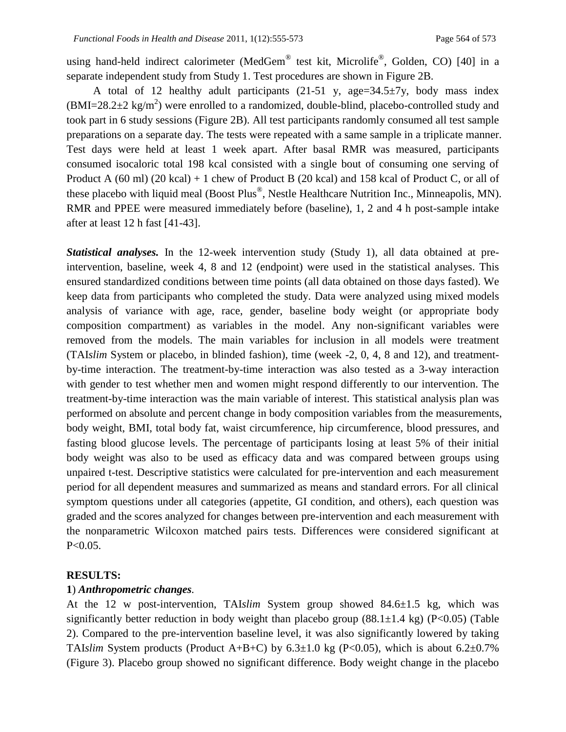using hand-held indirect calorimeter (MedGem® test kit, Microlife®, Golden, CO) [40] in a separate independent study from Study 1. Test procedures are shown in Figure 2B.

A total of 12 healthy adult participants  $(21-51 \text{ y}, \text{age}=34.5\pm7\text{ y}, \text{body mass index})$  $(BMI=28.2\pm2 \text{ kg/m}^2)$  were enrolled to a randomized, double-blind, placebo-controlled study and took part in 6 study sessions (Figure 2B). All test participants randomly consumed all test sample preparations on a separate day. The tests were repeated with a same sample in a triplicate manner. Test days were held at least 1 week apart. After basal RMR was measured, participants consumed isocaloric total 198 kcal consisted with a single bout of consuming one serving of Product A (60 ml) (20 kcal) + 1 chew of Product B (20 kcal) and 158 kcal of Product C, or all of these placebo with liquid meal (Boost Plus®, Nestle Healthcare Nutrition Inc., Minneapolis, MN). RMR and PPEE were measured immediately before (baseline), 1, 2 and 4 h post-sample intake after at least 12 h fast [41-43].

*Statistical analyses.* In the 12-week intervention study (Study 1), all data obtained at preintervention, baseline, week 4, 8 and 12 (endpoint) were used in the statistical analyses. This ensured standardized conditions between time points (all data obtained on those days fasted). We keep data from participants who completed the study. Data were analyzed using mixed models analysis of variance with age, race, gender, baseline body weight (or appropriate body composition compartment) as variables in the model. Any non-significant variables were removed from the models. The main variables for inclusion in all models were treatment (TAI*slim* System or placebo, in blinded fashion), time (week -2, 0, 4, 8 and 12), and treatmentby-time interaction. The treatment-by-time interaction was also tested as a 3-way interaction with gender to test whether men and women might respond differently to our intervention. The treatment-by-time interaction was the main variable of interest. This statistical analysis plan was performed on absolute and percent change in body composition variables from the measurements, body weight, BMI, total body fat, waist circumference, hip circumference, blood pressures, and fasting blood glucose levels. The percentage of participants losing at least 5% of their initial body weight was also to be used as efficacy data and was compared between groups using unpaired t-test. Descriptive statistics were calculated for pre-intervention and each measurement period for all dependent measures and summarized as means and standard errors. For all clinical symptom questions under all categories (appetite, GI condition, and others), each question was graded and the scores analyzed for changes between pre-intervention and each measurement with the nonparametric Wilcoxon matched pairs tests. Differences were considered significant at P<0.05.

### **RESULTS:**

### **1**) *Anthropometric changes.*

At the 12 w post-intervention, TAI*slim* System group showed 84.6±1.5 kg, which was significantly better reduction in body weight than placebo group  $(88.1 \pm 1.4 \text{ kg})$  (P<0.05) (Table 2). Compared to the pre-intervention baseline level, it was also significantly lowered by taking TAI*slim* System products (Product A+B+C) by  $6.3\pm1.0$  kg (P<0.05), which is about  $6.2\pm0.7\%$ (Figure 3). Placebo group showed no significant difference. Body weight change in the placebo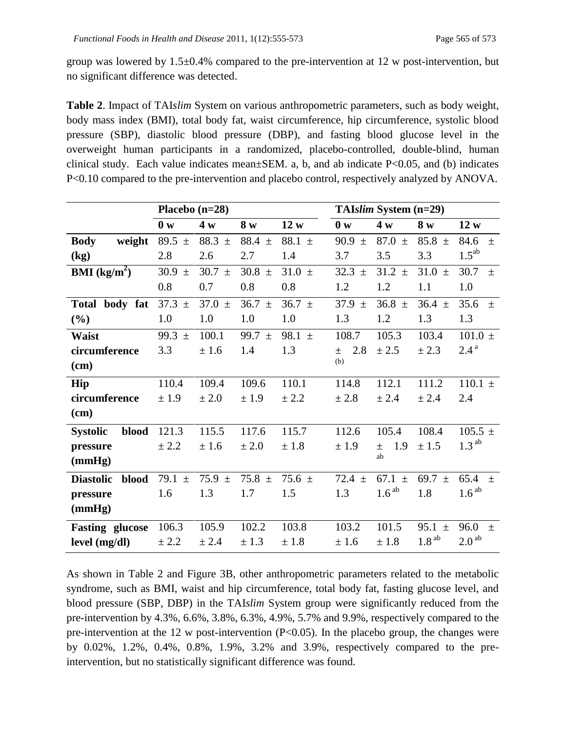group was lowered by 1.5±0.4% compared to the pre-intervention at 12 w post-intervention, but no significant difference was detected.

**Table 2**. Impact of TAI*slim* System on various anthropometric parameters, such as body weight, body mass index (BMI), total body fat, waist circumference, hip circumference, systolic blood pressure (SBP), diastolic blood pressure (DBP), and fasting blood glucose level in the overweight human participants in a randomized, placebo-controlled, double-blind, human clinical study. Each value indicates mean±SEM. a, b, and ab indicate P<0.05, and (b) indicates P<0.10 compared to the pre-intervention and placebo control, respectively analyzed by ANOVA.

|                           | Placebo $(n=28)$ |            |               |            | TAIslim System (n=29) |                   |                       |                   |  |  |  |
|---------------------------|------------------|------------|---------------|------------|-----------------------|-------------------|-----------------------|-------------------|--|--|--|
|                           | 0 <sub>w</sub>   | 4 w        | 8 w           | 12 w       | 0 <sub>w</sub>        | 4 w               | 8 w                   | 12 w              |  |  |  |
| <b>Body</b><br>weight     | 89.5 $\pm$       | 88.3 $\pm$ | 88.4 $\pm$    | 88.1 $\pm$ | 90.9<br>$\pm$         | 87.0 $\pm$        | 85.8 $\pm$            | 84.6<br>$\pm$     |  |  |  |
| (kg)                      | 2.8              | 2.6        | 2.7           | 1.4        | 3.7                   | 3.5               | 3.3                   | $1.5^{ab}$        |  |  |  |
| <b>BMI</b> ( $kg/m2$ )    | 30.9<br>$\pm$    | $30.7 \pm$ | 30.8 $\pm$    | 31.0 $\pm$ | 32.3<br>$+$           | $31.2 \pm$        | 31.0<br>$+$           | 30.7<br>$+$       |  |  |  |
|                           | 0.8              | 0.7        | 0.8           | 0.8        | 1.2                   | 1.2               | 1.1                   | 1.0               |  |  |  |
| Total body fat            | $37.3 \pm$       | 37.0 $\pm$ | $36.7 \pm$    | $36.7 \pm$ | 37.9<br>$\pm$         | 36.8 $\pm$        | $36.4 \pm$            | 35.6<br>$\pm$     |  |  |  |
| $(\%)$                    | 1.0              | 1.0        | 1.0           | 1.0        | 1.3                   | 1.2               | 1.3                   | 1.3               |  |  |  |
| <b>Waist</b>              | 99.3<br>$\pm$    | 100.1      | 99.7<br>$\pm$ | 98.1 $\pm$ | 108.7                 | 105.3             | 103.4                 | $101.0 \pm$       |  |  |  |
| circumference             | 3.3              | ±1.6       | 1.4           | 1.3        | 2.8<br>$\pm$          | ± 2.5             | ± 2.3                 | $2.4^{\text{a}}$  |  |  |  |
| $(cm)$                    |                  |            |               |            | (b)                   |                   |                       |                   |  |  |  |
| Hip                       | 110.4            | 109.4      | 109.6         | 110.1      | 114.8                 | 112.1             | 111.2                 | $110.1 \pm$       |  |  |  |
| circumference             | ± 1.9            | ± 2.0      | ± 1.9         | ± 2.2      | ± 2.8                 | ± 2.4             | ± 2.4                 | 2.4               |  |  |  |
| $(cm)$                    |                  |            |               |            |                       |                   |                       |                   |  |  |  |
| blood<br><b>Systolic</b>  | 121.3            | 115.5      | 117.6         | 115.7      | 112.6                 | 105.4             | 108.4                 | $105.5 \pm$       |  |  |  |
| pressure                  | ± 2.2            | ± 1.6      | ± 2.0         | ± 1.8      | ± 1.9                 | 1.9<br>$\pm$      | ± 1.5                 | 1.3 <sup>ab</sup> |  |  |  |
| (mmHg)                    |                  |            |               |            |                       | ab                |                       |                   |  |  |  |
| <b>Diastolic</b><br>blood | 79.1 $\pm$       | 75.9 $\pm$ | 75.8 $\pm$    | 75.6 $\pm$ | 72.4 $\pm$            | 67.1 $\pm$        | 69.7 $\pm$            | 65.4<br>$\pm$     |  |  |  |
| pressure                  | 1.6              | 1.3        | 1.7           | 1.5        | 1.3                   | 1.6 <sup>ab</sup> | 1.8                   | 1.6 <sup>ab</sup> |  |  |  |
| (mmHg)                    |                  |            |               |            |                       |                   |                       |                   |  |  |  |
| <b>Fasting glucose</b>    | 106.3            | 105.9      | 102.2         | 103.8      | 103.2                 | 101.5             | 95.1 $\pm$            | 96.0<br>$+$       |  |  |  |
| level (mg/dl)             | ± 2.2            | ± 2.4      | ± 1.3         | ± 1.8      | ± 1.6                 | ± 1.8             | $1.8^{\,\mathrm{ab}}$ | 2.0 <sup>ab</sup> |  |  |  |

As shown in Table 2 and Figure 3B, other anthropometric parameters related to the metabolic syndrome, such as BMI, waist and hip circumference, total body fat, fasting glucose level, and blood pressure (SBP, DBP) in the TAI*slim* System group were significantly reduced from the pre-intervention by 4.3%, 6.6%, 3.8%, 6.3%, 4.9%, 5.7% and 9.9%, respectively compared to the pre-intervention at the 12 w post-intervention  $(P<0.05)$ . In the placebo group, the changes were by 0.02%, 1.2%, 0.4%, 0.8%, 1.9%, 3.2% and 3.9%, respectively compared to the preintervention, but no statistically significant difference was found.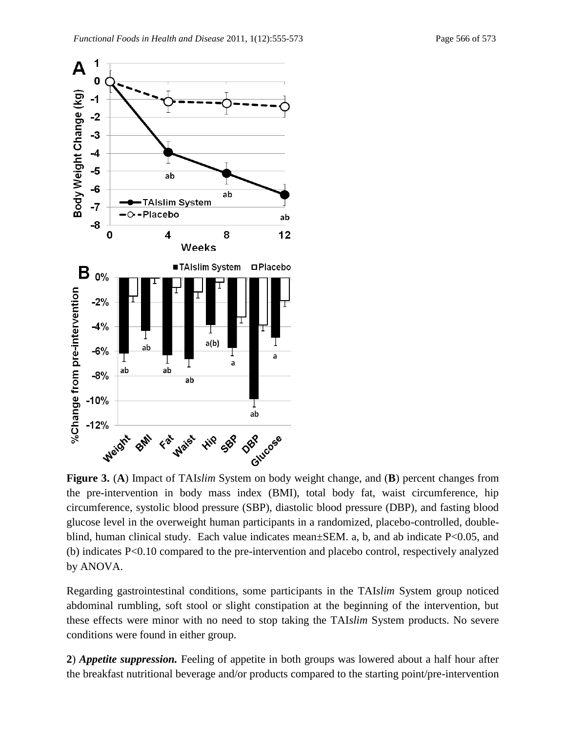

**Figure 3.** (**A**) Impact of TAI*slim* System on body weight change, and (**B**) percent changes from the pre-intervention in body mass index (BMI), total body fat, waist circumference, hip circumference, systolic blood pressure (SBP), diastolic blood pressure (DBP), and fasting blood glucose level in the overweight human participants in a randomized, placebo-controlled, doubleblind, human clinical study. Each value indicates mean±SEM. a, b, and ab indicate P<0.05, and (b) indicates P<0.10 compared to the pre-intervention and placebo control, respectively analyzed by ANOVA.

Regarding gastrointestinal conditions, some participants in the TAI*slim* System group noticed abdominal rumbling, soft stool or slight constipation at the beginning of the intervention, but these effects were minor with no need to stop taking the TAI*slim* System products. No severe conditions were found in either group.

**2**) *Appetite suppression.* Feeling of appetite in both groups was lowered about a half hour after the breakfast nutritional beverage and/or products compared to the starting point/pre-intervention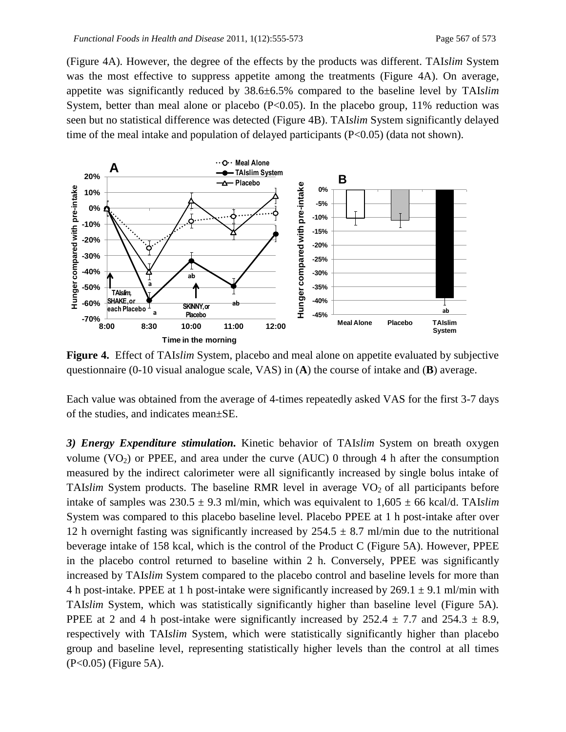(Figure 4A). However, the degree of the effects by the products was different. TAI*slim* System was the most effective to suppress appetite among the treatments (Figure 4A). On average, appetite was significantly reduced by 38.6±6.5% compared to the baseline level by TAI*slim* System, better than meal alone or placebo  $(P<0.05)$ . In the placebo group, 11% reduction was seen but no statistical difference was detected (Figure 4B). TAI*slim* System significantly delayed time of the meal intake and population of delayed participants  $(P<0.05)$  (data not shown).



**Figure 4.** Effect of TAI*slim* System, placebo and meal alone on appetite evaluated by subjective questionnaire (0-10 visual analogue scale, VAS) in (**A**) the course of intake and (**B**) average.

Each value was obtained from the average of 4-times repeatedly asked VAS for the first 3-7 days of the studies, and indicates mean±SE.

*3) Energy Expenditure stimulation.* Kinetic behavior of TAI*slim* System on breath oxygen volume  $(VO_2)$  or PPEE, and area under the curve  $(AUC)$  0 through 4 h after the consumption measured by the indirect calorimeter were all significantly increased by single bolus intake of TAI*slim* System products. The baseline RMR level in average  $VO<sub>2</sub>$  of all participants before intake of samples was  $230.5 \pm 9.3$  ml/min, which was equivalent to  $1,605 \pm 66$  kcal/d. TAI*slim* System was compared to this placebo baseline level. Placebo PPEE at 1 h post-intake after over 12 h overnight fasting was significantly increased by  $254.5 \pm 8.7$  ml/min due to the nutritional beverage intake of 158 kcal, which is the control of the Product C (Figure 5A). However, PPEE in the placebo control returned to baseline within 2 h. Conversely, PPEE was significantly increased by TAI*slim* System compared to the placebo control and baseline levels for more than 4 h post-intake. PPEE at 1 h post-intake were significantly increased by  $269.1 \pm 9.1$  ml/min with TAI*slim* System, which was statistically significantly higher than baseline level (Figure 5A). PPEE at 2 and 4 h post-intake were significantly increased by  $252.4 \pm 7.7$  and  $254.3 \pm 8.9$ , respectively with TAI*slim* System, which were statistically significantly higher than placebo group and baseline level, representing statistically higher levels than the control at all times (P<0.05) (Figure 5A).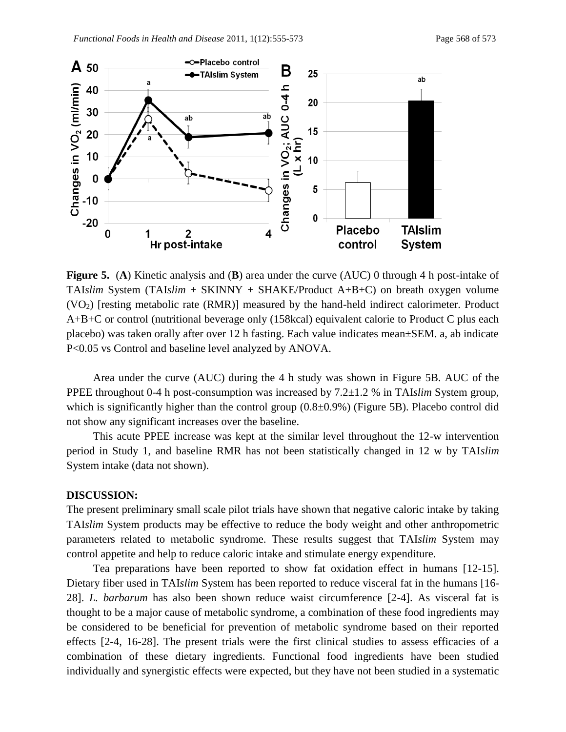

**Figure 5.** (**A**) Kinetic analysis and (**B**) area under the curve (AUC) 0 through 4 h post-intake of TAI*slim* System (TAI*slim* + SKINNY + SHAKE/Product A+B+C) on breath oxygen volume  $(VO<sub>2</sub>)$  [resting metabolic rate (RMR)] measured by the hand-held indirect calorimeter. Product A+B+C or control (nutritional beverage only (158kcal) equivalent calorie to Product C plus each placebo) was taken orally after over 12 h fasting. Each value indicates mean±SEM. a, ab indicate P<0.05 vs Control and baseline level analyzed by ANOVA.

Area under the curve (AUC) during the 4 h study was shown in Figure 5B. AUC of the PPEE throughout 0-4 h post-consumption was increased by 7.2±1.2 % in TAI*slim* System group, which is significantly higher than the control group (0.8±0.9%) (Figure 5B). Placebo control did not show any significant increases over the baseline.

This acute PPEE increase was kept at the similar level throughout the 12-w intervention period in Study 1, and baseline RMR has not been statistically changed in 12 w by TAI*slim* System intake (data not shown).

### **DISCUSSION:**

The present preliminary small scale pilot trials have shown that negative caloric intake by taking TAI*slim* System products may be effective to reduce the body weight and other anthropometric parameters related to metabolic syndrome. These results suggest that TAI*slim* System may control appetite and help to reduce caloric intake and stimulate energy expenditure.

Tea preparations have been reported to show fat oxidation effect in humans [12-15]. Dietary fiber used in TAI*slim* System has been reported to reduce visceral fat in the humans [16- 28]. *L. barbarum* has also been shown reduce waist circumference [2-4]. As visceral fat is thought to be a major cause of metabolic syndrome, a combination of these food ingredients may be considered to be beneficial for prevention of metabolic syndrome based on their reported effects [2-4, 16-28]. The present trials were the first clinical studies to assess efficacies of a combination of these dietary ingredients. Functional food ingredients have been studied individually and synergistic effects were expected, but they have not been studied in a systematic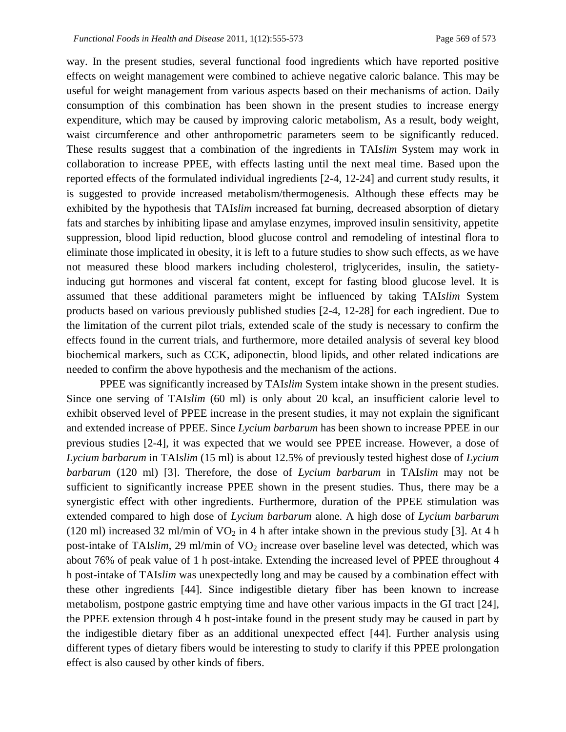way. In the present studies, several functional food ingredients which have reported positive effects on weight management were combined to achieve negative caloric balance. This may be useful for weight management from various aspects based on their mechanisms of action. Daily consumption of this combination has been shown in the present studies to increase energy expenditure, which may be caused by improving caloric metabolism, As a result, body weight, waist circumference and other anthropometric parameters seem to be significantly reduced. These results suggest that a combination of the ingredients in TAI*slim* System may work in collaboration to increase PPEE, with effects lasting until the next meal time. Based upon the reported effects of the formulated individual ingredients [2-4, 12-24] and current study results, it is suggested to provide increased metabolism/thermogenesis. Although these effects may be exhibited by the hypothesis that TAI*slim* increased fat burning, decreased absorption of dietary fats and starches by inhibiting lipase and amylase enzymes, improved insulin sensitivity, appetite suppression, blood lipid reduction, blood glucose control and remodeling of intestinal flora to eliminate those implicated in obesity, it is left to a future studies to show such effects, as we have not measured these blood markers including cholesterol, triglycerides, insulin, the satietyinducing gut hormones and visceral fat content, except for fasting blood glucose level. It is assumed that these additional parameters might be influenced by taking TAI*slim* System products based on various previously published studies [2-4, 12-28] for each ingredient. Due to the limitation of the current pilot trials, extended scale of the study is necessary to confirm the effects found in the current trials, and furthermore, more detailed analysis of several key blood biochemical markers, such as CCK, adiponectin, blood lipids, and other related indications are needed to confirm the above hypothesis and the mechanism of the actions.

PPEE was significantly increased by TAI*slim* System intake shown in the present studies. Since one serving of TAI*slim* (60 ml) is only about 20 kcal, an insufficient calorie level to exhibit observed level of PPEE increase in the present studies, it may not explain the significant and extended increase of PPEE. Since *Lycium barbarum* has been shown to increase PPEE in our previous studies [2-4], it was expected that we would see PPEE increase. However, a dose of *Lycium barbarum* in TAI*slim* (15 ml) is about 12.5% of previously tested highest dose of *Lycium barbarum* (120 ml) [3]. Therefore, the dose of *Lycium barbarum* in TAI*slim* may not be sufficient to significantly increase PPEE shown in the present studies. Thus, there may be a synergistic effect with other ingredients. Furthermore, duration of the PPEE stimulation was extended compared to high dose of *Lycium barbarum* alone. A high dose of *Lycium barbarum* (120 ml) increased 32 ml/min of  $VO<sub>2</sub>$  in 4 h after intake shown in the previous study [3]. At 4 h post-intake of TAI*slim*, 29 ml/min of VO<sub>2</sub> increase over baseline level was detected, which was about 76% of peak value of 1 h post-intake. Extending the increased level of PPEE throughout 4 h post-intake of TAI*slim* was unexpectedly long and may be caused by a combination effect with these other ingredients [44]. Since indigestible dietary fiber has been known to increase metabolism, postpone gastric emptying time and have other various impacts in the GI tract [24], the PPEE extension through 4 h post-intake found in the present study may be caused in part by the indigestible dietary fiber as an additional unexpected effect [44]. Further analysis using different types of dietary fibers would be interesting to study to clarify if this PPEE prolongation effect is also caused by other kinds of fibers.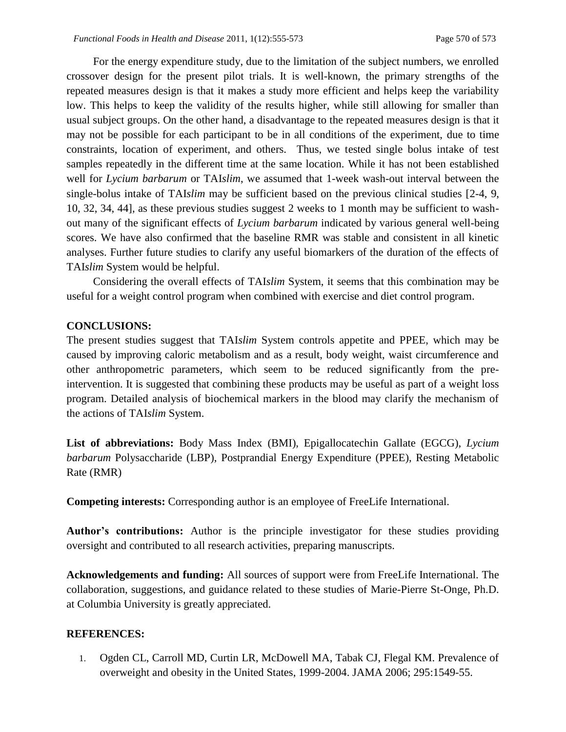For the energy expenditure study, due to the limitation of the subject numbers, we enrolled crossover design for the present pilot trials. It is well-known, the primary strengths of the repeated measures design is that it makes a study more efficient and helps keep the variability low. This helps to keep the validity of the results higher, while still allowing for smaller than usual subject groups. On the other hand, a disadvantage to the repeated measures design is that it may not be possible for each participant to be in all conditions of the experiment, due to time constraints, location of experiment, and others. Thus, we tested single bolus intake of test samples repeatedly in the different time at the same location. While it has not been established well for *Lycium barbarum* or TAI*slim*, we assumed that 1-week wash-out interval between the single-bolus intake of TAI*slim* may be sufficient based on the previous clinical studies [2-4, 9, 10, 32, 34, 44], as these previous studies suggest 2 weeks to 1 month may be sufficient to washout many of the significant effects of *Lycium barbarum* indicated by various general well-being scores. We have also confirmed that the baseline RMR was stable and consistent in all kinetic analyses. Further future studies to clarify any useful biomarkers of the duration of the effects of TAI*slim* System would be helpful.

Considering the overall effects of TAI*slim* System, it seems that this combination may be useful for a weight control program when combined with exercise and diet control program.

### **CONCLUSIONS:**

The present studies suggest that TAI*slim* System controls appetite and PPEE, which may be caused by improving caloric metabolism and as a result, body weight, waist circumference and other anthropometric parameters, which seem to be reduced significantly from the preintervention. It is suggested that combining these products may be useful as part of a weight loss program. Detailed analysis of biochemical markers in the blood may clarify the mechanism of the actions of TAI*slim* System.

**List of abbreviations:** Body Mass Index (BMI), Epigallocatechin Gallate (EGCG), *Lycium barbarum* Polysaccharide (LBP), Postprandial Energy Expenditure (PPEE), Resting Metabolic Rate (RMR)

**Competing interests:** Corresponding author is an employee of FreeLife International.

**Author's contributions:** Author is the principle investigator for these studies providing oversight and contributed to all research activities, preparing manuscripts.

**Acknowledgements and funding:** All sources of support were from FreeLife International. The collaboration, suggestions, and guidance related to these studies of Marie-Pierre St-Onge, Ph.D. at Columbia University is greatly appreciated.

### **REFERENCES:**

1. Ogden CL, Carroll MD, Curtin LR, McDowell MA, Tabak CJ, Flegal KM. Prevalence of overweight and obesity in the United States, 1999-2004. JAMA 2006; 295:1549-55.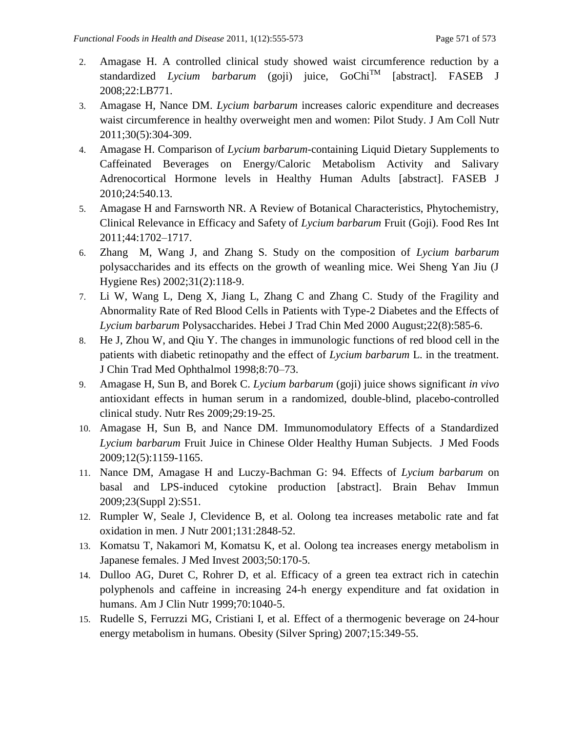- 2. Amagase H. A controlled clinical study showed waist circumference reduction by a standardized *Lycium barbarum* (goji) juice, GoChiTM [abstract]. FASEB J 2008;22:LB771.
- 3. Amagase H, Nance DM. *Lycium barbarum* increases caloric expenditure and decreases waist circumference in healthy overweight men and women: Pilot Study. J Am Coll Nutr 2011;30(5):304-309.
- 4. Amagase H. Comparison of *Lycium barbarum*-containing Liquid Dietary Supplements to Caffeinated Beverages on Energy/Caloric Metabolism Activity and Salivary Adrenocortical Hormone levels in Healthy Human Adults [abstract]. FASEB J 2010;24:540.13.
- 5. Amagase H and Farnsworth NR. A Review of Botanical Characteristics, Phytochemistry, Clinical Relevance in Efficacy and Safety of *Lycium barbarum* Fruit (Goji). Food Res Int 2011;44:1702–1717.
- 6. Zhang M, Wang J, and Zhang S. Study on the composition of *Lycium barbarum* polysaccharides and its effects on the growth of weanling mice. Wei Sheng Yan Jiu (J Hygiene Res) 2002;31(2):118-9.
- 7. Li W, Wang L, Deng X, Jiang L, Zhang C and Zhang C. Study of the Fragility and Abnormality Rate of Red Blood Cells in Patients with Type-2 Diabetes and the Effects of *Lycium barbarum* Polysaccharides. Hebei J Trad Chin Med 2000 August;22(8):585-6.
- 8. He J, Zhou W, and Qiu Y. The changes in immunologic functions of red blood cell in the patients with diabetic retinopathy and the effect of *Lycium barbarum* L. in the treatment. J Chin Trad Med Ophthalmol 1998;8:70–73.
- 9. Amagase H, Sun B, and Borek C. *Lycium barbarum* (goji) juice shows significant *in vivo* antioxidant effects in human serum in a randomized, double-blind, placebo-controlled clinical study. Nutr Res 2009;29:19-25.
- 10. Amagase H, Sun B, and Nance DM. Immunomodulatory Effects of a Standardized *Lycium barbarum* Fruit Juice in Chinese Older Healthy Human Subjects. J Med Foods 2009;12(5):1159-1165.
- 11. Nance DM, Amagase H and Luczy-Bachman G: 94. Effects of *Lycium barbarum* on basal and LPS-induced cytokine production [abstract]. Brain Behav Immun 2009;23(Suppl 2):S51.
- 12. Rumpler W, Seale J, Clevidence B, et al. Oolong tea increases metabolic rate and fat oxidation in men. J Nutr 2001;131:2848-52.
- 13. Komatsu T, Nakamori M, Komatsu K, et al. Oolong tea increases energy metabolism in Japanese females. J Med Invest 2003;50:170-5.
- 14. Dulloo AG, Duret C, Rohrer D, et al. Efficacy of a green tea extract rich in catechin polyphenols and caffeine in increasing 24-h energy expenditure and fat oxidation in humans. Am J Clin Nutr 1999;70:1040-5.
- 15. Rudelle S, Ferruzzi MG, Cristiani I, et al. Effect of a thermogenic beverage on 24-hour energy metabolism in humans. Obesity (Silver Spring) 2007;15:349-55.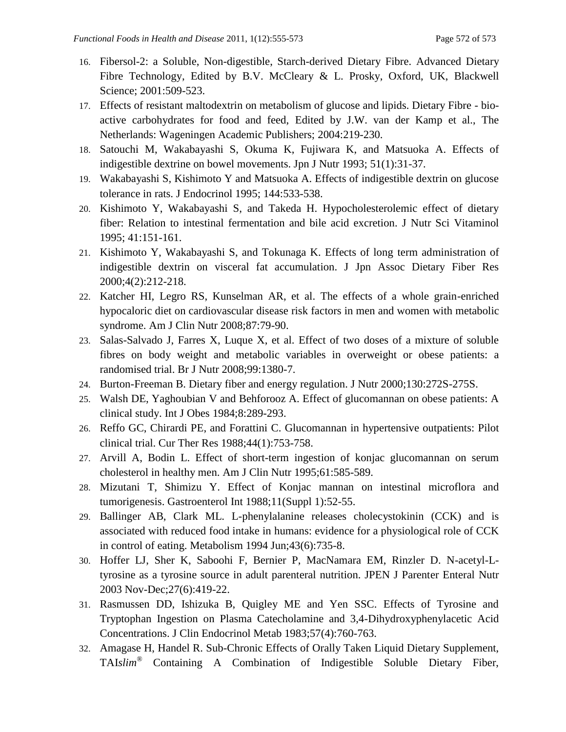- 16. Fibersol-2: a Soluble, Non-digestible, Starch-derived Dietary Fibre. Advanced Dietary Fibre Technology, Edited by B.V. McCleary & L. Prosky, Oxford, UK, Blackwell Science; 2001:509-523.
- 17. Effects of resistant maltodextrin on metabolism of glucose and lipids. Dietary Fibre bioactive carbohydrates for food and feed, Edited by J.W. van der Kamp et al., The Netherlands: Wageningen Academic Publishers; 2004:219-230.
- 18. Satouchi M, Wakabayashi S, Okuma K, Fujiwara K, and Matsuoka A. Effects of indigestible dextrine on bowel movements. Jpn J Nutr 1993; 51(1):31-37.
- 19. Wakabayashi S, Kishimoto Y and Matsuoka A. Effects of indigestible dextrin on glucose tolerance in rats. J Endocrinol 1995; 144:533-538.
- 20. Kishimoto Y, Wakabayashi S, and Takeda H. Hypocholesterolemic effect of dietary fiber: Relation to intestinal fermentation and bile acid excretion. J Nutr Sci Vitaminol 1995; 41:151-161.
- 21. Kishimoto Y, Wakabayashi S, and Tokunaga K. Effects of long term administration of indigestible dextrin on visceral fat accumulation. J Jpn Assoc Dietary Fiber Res 2000;4(2):212-218.
- 22. Katcher HI, Legro RS, Kunselman AR, et al. The effects of a whole grain-enriched hypocaloric diet on cardiovascular disease risk factors in men and women with metabolic syndrome. Am J Clin Nutr 2008;87:79-90.
- 23. Salas-Salvado J, Farres X, Luque X, et al. Effect of two doses of a mixture of soluble fibres on body weight and metabolic variables in overweight or obese patients: a randomised trial. Br J Nutr 2008;99:1380-7.
- 24. Burton-Freeman B. Dietary fiber and energy regulation. J Nutr 2000;130:272S-275S.
- 25. Walsh DE, Yaghoubian V and Behforooz A. Effect of glucomannan on obese patients: A clinical study. Int J Obes 1984;8:289-293.
- 26. Reffo GC, Chirardi PE, and Forattini C. Glucomannan in hypertensive outpatients: Pilot clinical trial. Cur Ther Res 1988;44(1):753-758.
- 27. Arvill A, Bodin L. Effect of short-term ingestion of konjac glucomannan on serum cholesterol in healthy men. Am J Clin Nutr 1995;61:585-589.
- 28. Mizutani T, Shimizu Y. Effect of Konjac mannan on intestinal microflora and tumorigenesis. Gastroenterol Int 1988;11(Suppl 1):52-55.
- 29. Ballinger AB, Clark ML. L-phenylalanine releases cholecystokinin (CCK) and is associated with reduced food intake in humans: evidence for a physiological role of CCK in control of eating. Metabolism 1994 Jun;43(6):735-8.
- 30. Hoffer LJ, Sher K, Saboohi F, Bernier P, MacNamara EM, Rinzler D. N-acetyl-Ltyrosine as a tyrosine source in adult parenteral nutrition. JPEN J Parenter Enteral Nutr 2003 Nov-Dec;27(6):419-22.
- 31. Rasmussen DD, Ishizuka B, Quigley ME and Yen SSC. Effects of Tyrosine and Tryptophan Ingestion on Plasma Catecholamine and 3,4-Dihydroxyphenylacetic Acid Concentrations. J Clin Endocrinol Metab 1983;57(4):760-763.
- 32. Amagase H, Handel R. Sub-Chronic Effects of Orally Taken Liquid Dietary Supplement, TAI*slim*® Containing A Combination of Indigestible Soluble Dietary Fiber,